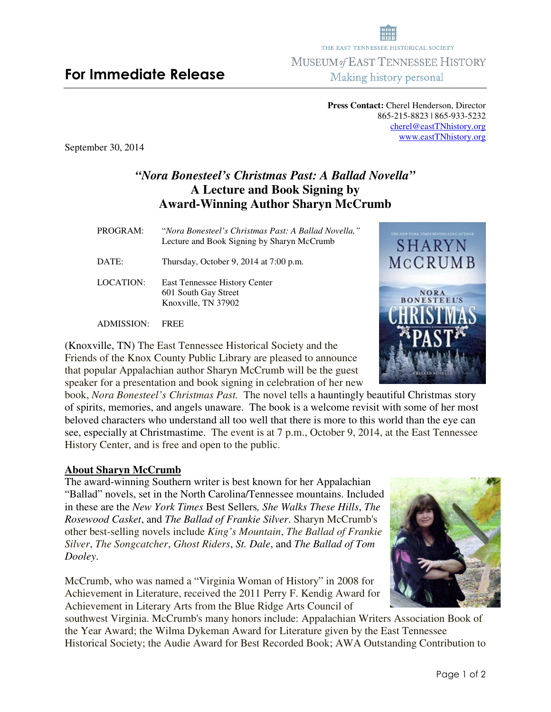# **For Immediate Release**

**Press Contact:** Cherel Henderson, Director 865-215-8823 | 865-933-5232 cherel@eastTNhistory.org www.eastTNhistory.org

THE EAST TENNESSEE HISTORICAL SOCIETY **MUSEUM of EAST TENNESSEE HISTORY** Making history personal

September 30, 2014

## *"Nora Bonesteel's Christmas Past: A Ballad Novella"*  **A Lecture and Book Signing by Award-Winning Author Sharyn McCrumb**

PROGRAM:"*Nora Bonesteel's Christmas Past: A Ballad Novella,"* Lecture and Book Signing by Sharyn McCrumb DATE: Thursday, October 9, 2014 at 7:00 p.m. LOCATION: East Tennessee History Center 601 South Gay Street Knoxville, TN 37902

ADMISSION: FREE

(Knoxville, TN) The East Tennessee Historical Society and the Friends of the Knox County Public Library are pleased to announce that popular Appalachian author Sharyn McCrumb will be the guest speaker for a presentation and book signing in celebration of her new

book, *Nora Bonesteel's Christmas Past.* The novel tells a hauntingly beautiful Christmas story of spirits, memories, and angels unaware. The book is a welcome revisit with some of her most beloved characters who understand all too well that there is more to this world than the eye can see, especially at Christmastime. The event is at 7 p.m., October 9, 2014, at the East Tennessee History Center, and is free and open to the public.

### **About Sharyn McCrumb**

The award-winning Southern writer is best known for her Appalachian "Ballad" novels, set in the North Carolina/Tennessee mountains. Included in these are the *New York Times* Best Sellers*, She Walks These Hills*, *The Rosewood Casket*, and *The Ballad of Frankie Silver*. Sharyn McCrumb's other best-selling novels include *King's Mountain*, *The Ballad of Frankie Silver*, *The Songcatcher*, *Ghost Riders*, *St. Dale*, and *The Ballad of Tom Dooley*.

McCrumb, who was named a "Virginia Woman of History" in 2008 for Achievement in Literature, received the 2011 Perry F. Kendig Award for Achievement in Literary Arts from the Blue Ridge Arts Council of

southwest Virginia. McCrumb's many honors include: Appalachian Writers Association Book of the Year Award; the Wilma Dykeman Award for Literature given by the East Tennessee Historical Society; the Audie Award for Best Recorded Book; AWA Outstanding Contribution to